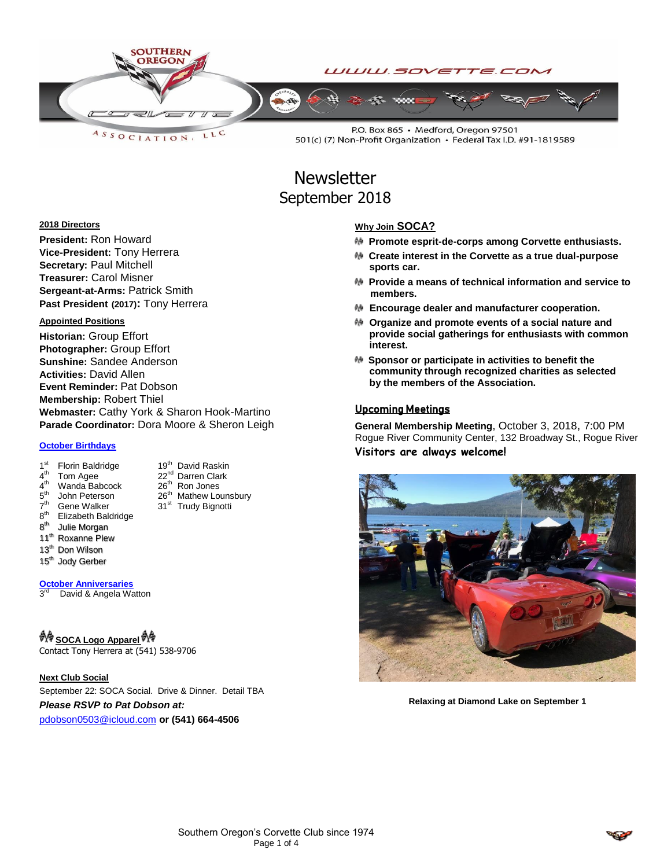

**Newsletter** September 2018

#### **2018 Directors**

**President:** Ron Howard **Vice-President:** Tony Herrera **Secretary:** Paul Mitchell **Treasurer:** Carol Misner **Sergeant-at-Arms:** Patrick Smith **Past President (2017):** Tony Herrera

#### **Appointed Positions**

**Historian:** Group Effort **Photographer:** Group Effort **Sunshine:** Sandee Anderson **Activities:** David Allen **Event Reminder:** Pat Dobson **Membership:** Robert Thiel **Webmaster:** Cathy York & Sharon Hook-Martino **Parade Coordinator:** Dora Moore & Sheron Leigh

31<sup>st</sup> Trudy Bignotti

#### **October Birthdays**

- 1<sup>st</sup> Florin Baldridge 19<sup>th</sup> David Raskin
- $4<sup>th</sup>$ Tom Agee 22<sup>nd</sup> Darren Clark
- $4<sup>th</sup>$ th Wanda Babcock 26th Ron Jones
- ${\bf 5}^{\rm th}$ John Peterson  $26^{th}$  Mathew Lounsbury<br>Gene Walker  $31^{st}$  Trudy Bignotti
- $\bar{7}$ <sup>th</sup>
- $8<sup>th</sup>$ **Elizabeth Baldridge**
- $8<sup>th</sup>$ **Julie Morgan**
- 11<sup>th</sup> Roxanne Plew
- 13<sup>th</sup> Don Wilson
- 15<sup>th</sup> Jody Gerber

**October Anniversaries**

 $3<sup>rd</sup>$ David & Angela Watton

# **A SOCA Logo Apparel <sup>A</sup> S**

Contact Tony Herrera at (541) 538-9706

**Next Club Social**

September 22: SOCA Social. Drive & Dinner. Detail TBA

*Please RSVP to Pat Dobson at:*

[pdobson0503@icloud.com](mailto:pdobson0503@icloud.com) **or (541) 664-4506**

#### **Why Join SOCA?**

- **Promote esprit-de-corps among Corvette enthusiasts.**
- **Create interest in the Corvette as a true dual-purpose sports car.**
- **Provide a means of technical information and service to members.**
- **Encourage dealer and manufacturer cooperation.**
- **Organize and promote events of a social nature and provide social gatherings for enthusiasts with common interest.**
- **Sponsor or participate in activities to benefit the community through recognized charities as selected by the members of the Association.**

#### Upcoming Meetings

**General Membership Meeting**, October 3, 2018, 7:00 PM Rogue River Community Center, 132 Broadway St., Rogue River **Visitors are always welcome!**



**Relaxing at Diamond Lake on September 1**

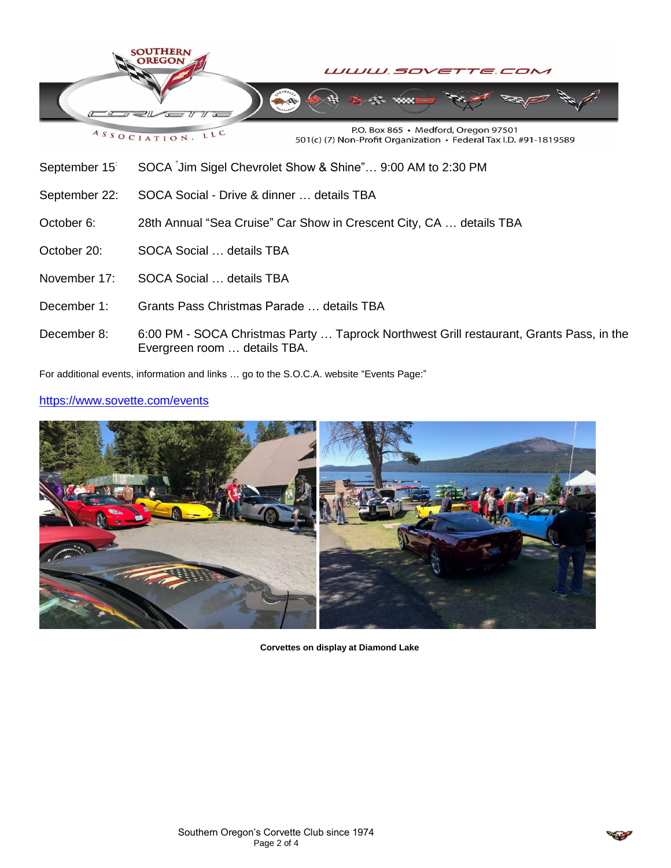

ASSOCIATION, LLC

P.O. Box 865 · Medford, Oregon 97501 501(c) (7) Non-Profit Organization · Federal Tax I.D. #91-1819589

- September 15<sup>:</sup> SOCA Jim Sigel Chevrolet Show & Shine"... 9:00 AM to 2:30 PM
- September 22: SOCA Social Drive & dinner … details TBA
- October 6: 28th Annual "Sea Cruise" Car Show in Crescent City, CA … details TBA
- October 20: SOCA Social ... details TBA
- November 17: SOCA Social … details TBA
- December 1: Grants Pass Christmas Parade … details TBA
- December 8: 6:00 PM SOCA Christmas Party … Taprock Northwest Grill restaurant, Grants Pass, in the Evergreen room … details TBA.

For additional events, information and links … go to the S.O.C.A. website "Events Page:"

### <https://www.sovette.com/events>



**Corvettes on display at Diamond Lake**

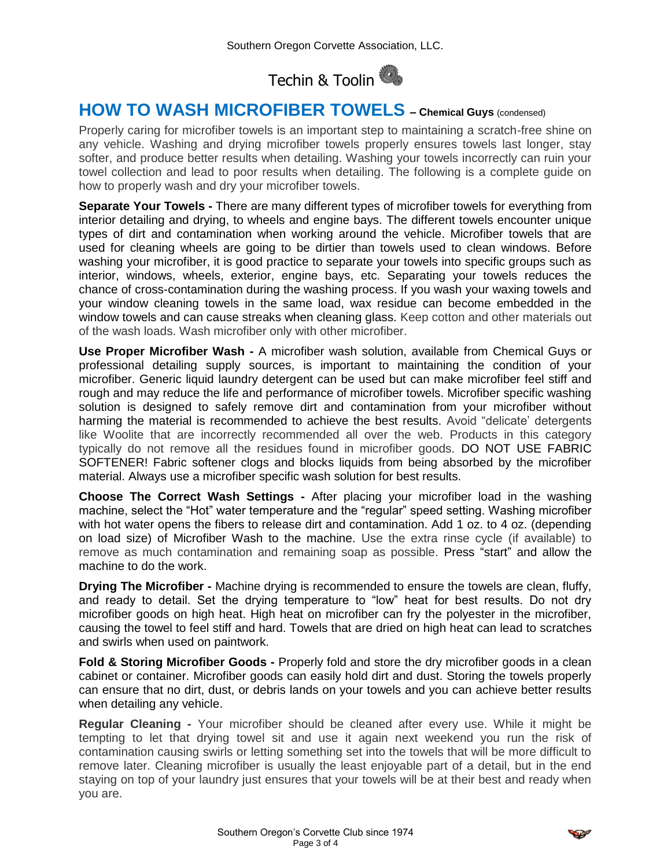

# **HOW TO WASH MICROFIBER TOWELS – <sup>C</sup>hemical Guys** (condensed)

Properly caring for microfiber towels is an important step to maintaining a scratch-free shine on any vehicle. Washing and drying microfiber towels properly ensures towels last longer, stay softer, and produce better results when detailing. Washing your towels incorrectly can ruin your towel collection and lead to poor results when detailing. The following is a complete guide on how to properly wash and dry your microfiber towels.

**Separate Your Towels -** There are many different types of microfiber towels for everything from interior detailing and drying, to wheels and engine bays. The different towels encounter unique types of dirt and contamination when working around the vehicle. Microfiber towels that are used for cleaning wheels are going to be dirtier than towels used to clean windows. Before washing your microfiber, it is good practice to separate your towels into specific groups such as interior, windows, wheels, exterior, engine bays, etc. Separating your towels reduces the chance of cross-contamination during the washing process. If you wash your waxing towels and your window cleaning towels in the same load, wax residue can become embedded in the window towels and can cause streaks when cleaning glass. Keep cotton and other materials out of the wash loads. Wash microfiber only with other microfiber.

**Use Proper Microfiber Wash -** A microfiber wash solution, available from Chemical Guys or professional detailing supply sources, is important to maintaining the condition of your microfiber. Generic liquid laundry detergent can be used but can make microfiber feel stiff and rough and may reduce the life and performance of microfiber towels. Microfiber specific washing solution is designed to safely remove dirt and contamination from your microfiber without harming the material is recommended to achieve the best results. Avoid "delicate' detergents like Woolite that are incorrectly recommended all over the web. Products in this category typically do not remove all the residues found in microfiber goods. DO NOT USE FABRIC SOFTENER! Fabric softener clogs and blocks liquids from being absorbed by the microfiber material. Always use a microfiber specific wash solution for best results.

**Choose The Correct Wash Settings -** After placing your microfiber load in the washing machine, select the "Hot" water temperature and the "regular" speed setting. Washing microfiber with hot water opens the fibers to release dirt and contamination. Add 1 oz. to 4 oz. (depending on load size) of Microfiber Wash to the machine. Use the extra rinse cycle (if available) to remove as much contamination and remaining soap as possible. Press "start" and allow the machine to do the work.

**Drying The Microfiber -** Machine drying is recommended to ensure the towels are clean, fluffy, and ready to detail. Set the drying temperature to "low" heat for best results. Do not dry microfiber goods on high heat. High heat on microfiber can fry the polyester in the microfiber, causing the towel to feel stiff and hard. Towels that are dried on high heat can lead to scratches and swirls when used on paintwork.

**Fold & Storing Microfiber Goods -** Properly fold and store the dry microfiber goods in a clean cabinet or container. Microfiber goods can easily hold dirt and dust. Storing the towels properly can ensure that no dirt, dust, or debris lands on your towels and you can achieve better results when detailing any vehicle.

**Regular Cleaning -** Your microfiber should be cleaned after every use. While it might be tempting to let that drying towel sit and use it again next weekend you run the risk of contamination causing swirls or letting something set into the towels that will be more difficult to remove later. Cleaning microfiber is usually the least enjoyable part of a detail, but in the end staying on top of your laundry just ensures that your towels will be at their best and ready when you are.

$$
\bullet
$$